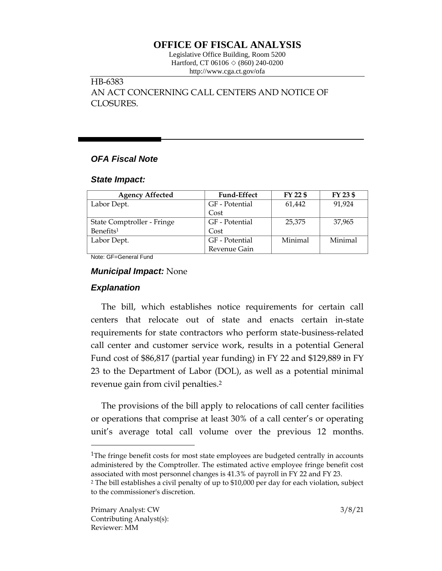# **OFFICE OF FISCAL ANALYSIS**

Legislative Office Building, Room 5200 Hartford, CT 06106  $\Diamond$  (860) 240-0200 http://www.cga.ct.gov/ofa

HB-6383 AN ACT CONCERNING CALL CENTERS AND NOTICE OF CLOSURES.

# *OFA Fiscal Note*

#### *State Impact:*

| <b>Agency Affected</b>     | <b>Fund-Effect</b> | FY 22 \$ | FY 23 \$ |
|----------------------------|--------------------|----------|----------|
| Labor Dept.                | GF - Potential     | 61,442   | 91.924   |
|                            | Cost               |          |          |
| State Comptroller - Fringe | GF - Potential     | 25,375   | 37,965   |
| Benefits <sup>1</sup>      | Cost               |          |          |
| Labor Dept.                | GF - Potential     | Minimal  | Minimal  |
|                            | Revenue Gain       |          |          |

Note: GF=General Fund

### *Municipal Impact:* None

# *Explanation*

The bill, which establishes notice requirements for certain call centers that relocate out of state and enacts certain in-state requirements for state contractors who perform state-business-related call center and customer service work, results in a potential General Fund cost of \$86,817 (partial year funding) in FY 22 and \$129,889 in FY 23 to the Department of Labor (DOL), as well as a potential minimal revenue gain from civil penalties.<sup>2</sup>

The provisions of the bill apply to relocations of call center facilities or operations that comprise at least 30% of a call center's or operating unit's average total call volume over the previous 12 months.

<sup>1</sup>The fringe benefit costs for most state employees are budgeted centrally in accounts administered by the Comptroller. The estimated active employee fringe benefit cost associated with most personnel changes is 41.3% of payroll in FY 22 and FY 23.

 $\overline{a}$ 

<sup>2</sup> The bill establishes a civil penalty of up to \$10,000 per day for each violation, subject to the commissioner's discretion.